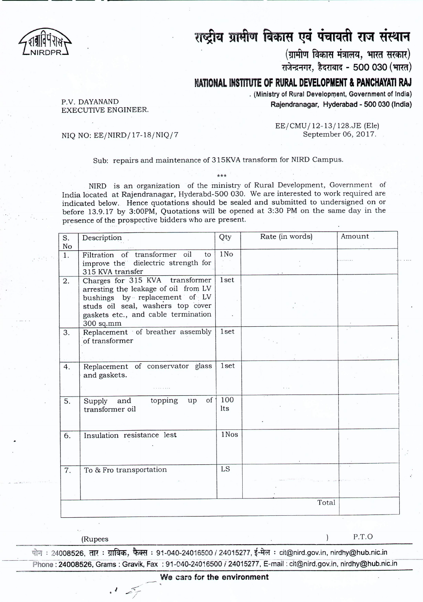

## राष्ट्रीय ग्रामीण विकास एवं पंचायती राज संस्थान

(ग्रामीण विकास मंत्रालय, भारत सरकार)

U]t~1~H,i~(I~I~- **500030 ('lTffiI)**

## **NATIONAL INSTITUTE OF RURAL DEVELOPMENT & PANCHAYATI RAJ**

**. (Ministry of Rural Development, Government of India) Rajendranagar, Hyderabad - 500 030 (India)**

P.V. DAYANAND EXECUTIVE ENGINEER.

> EE/CMU /12-13/ 128.JE (Ele) September 06,2017.

NIQ NO: EE/NIRD/17-18/NIQ/7

----- -- -- - ----------------- ------

## Sub: repairs and maintenance of 315KVA transform for NIRD Campus.

\*\*\* NIRD is an organization of the ministry of Rural Development, Government of India located at Rajendranagar, Hyderabd-500 030. We are interested to work required are indicated below. Hence quotations should be sealed and submitted to undersigned on or before 13.9.17 by 3:00PM, Quotations will be opened at 3:30 PM on the same day in the presence of the prospective bidders who are present.

| S.               | Description                          | Qty             | Rate (in words) | Amount. |  |
|------------------|--------------------------------------|-----------------|-----------------|---------|--|
| No               |                                      |                 |                 |         |  |
| $\overline{1}$ . | Filtration of transformer oil<br>to  | 1N <sub>O</sub> |                 |         |  |
|                  | improve the dielectric strength for  |                 |                 |         |  |
|                  | 315 KVA transfer                     |                 |                 |         |  |
| $\overline{2}$ . | Charges for 315 KVA transformer      | 1set            |                 |         |  |
|                  | arresting the leakage of oil from LV |                 |                 |         |  |
|                  | bushings by replacement of LV        |                 |                 |         |  |
|                  | studs oil seal, washers top cover    |                 |                 |         |  |
|                  | gaskets etc., and cable termination  |                 |                 |         |  |
|                  | 300 sq.mm                            |                 |                 |         |  |
| 3.               | Replacement of breather assembly     | 1set            |                 |         |  |
|                  | of transformer                       |                 |                 |         |  |
|                  |                                      |                 |                 |         |  |
|                  |                                      |                 |                 |         |  |
| 4.               | Replacement of conservator glass     | 1set            |                 |         |  |
|                  | and gaskets.                         |                 |                 |         |  |
|                  |                                      |                 |                 |         |  |
|                  |                                      |                 |                 |         |  |
| 5.               | of '<br>topping<br>Supply and<br>up  | 100             |                 |         |  |
|                  | transformer oil                      | lts             |                 |         |  |
|                  |                                      |                 |                 |         |  |
|                  |                                      |                 |                 |         |  |
| 6.               | Insulation resistance lest           | 1Nos            |                 |         |  |
|                  |                                      |                 |                 |         |  |
|                  |                                      |                 |                 |         |  |
|                  |                                      |                 |                 |         |  |
| 7.               | To & Fro transportation              | LS              |                 |         |  |
|                  |                                      |                 |                 |         |  |
|                  |                                      |                 |                 |         |  |
|                  |                                      |                 |                 |         |  |
|                  |                                      |                 | Total           |         |  |
|                  |                                      |                 |                 |         |  |

(Rupees ) P.T.O

~ : 24008526, em : ~, ~ : 91-040-24016500 *i* 24015277, *t-itR :* cit@nird.gov.in, nirdhy@hub,nic.in Phone : 24008526, Grams: Gravik, Fax: 91~040-24016500 / 24015277, E-mail: cit@nird.gov.in, nirdhy@hub.nic.in